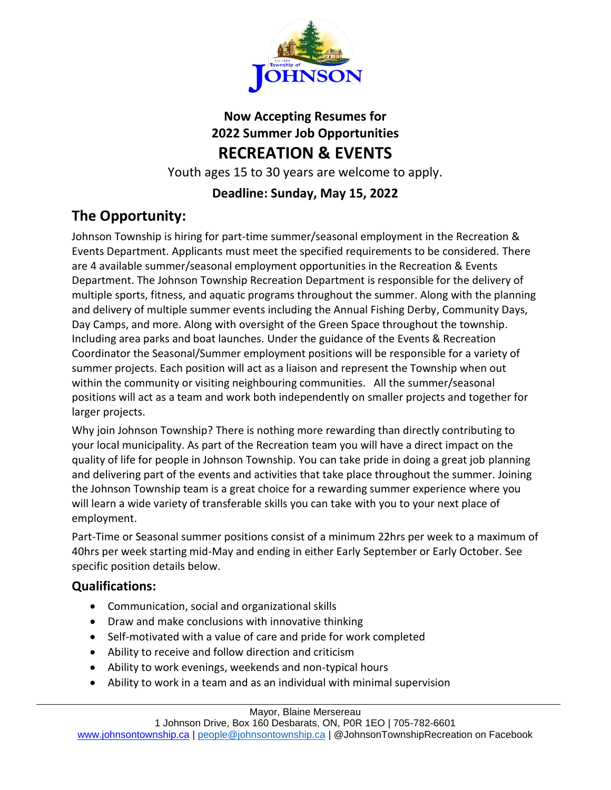

## **Now Accepting Resumes for 2022 Summer Job Opportunities RECREATION & EVENTS**

Youth ages 15 to 30 years are welcome to apply.

## **Deadline: Sunday, May 15, 2022**

# **The Opportunity:**

Johnson Township is hiring for part-time summer/seasonal employment in the Recreation & Events Department. Applicants must meet the specified requirements to be considered. There are 4 available summer/seasonal employment opportunities in the Recreation & Events Department. The Johnson Township Recreation Department is responsible for the delivery of multiple sports, fitness, and aquatic programs throughout the summer. Along with the planning and delivery of multiple summer events including the Annual Fishing Derby, Community Days, Day Camps, and more. Along with oversight of the Green Space throughout the township. Including area parks and boat launches. Under the guidance of the Events & Recreation Coordinator the Seasonal/Summer employment positions will be responsible for a variety of summer projects. Each position will act as a liaison and represent the Township when out within the community or visiting neighbouring communities. All the summer/seasonal positions will act as a team and work both independently on smaller projects and together for larger projects.

Why join Johnson Township? There is nothing more rewarding than directly contributing to your local municipality. As part of the Recreation team you will have a direct impact on the quality of life for people in Johnson Township. You can take pride in doing a great job planning and delivering part of the events and activities that take place throughout the summer. Joining the Johnson Township team is a great choice for a rewarding summer experience where you will learn a wide variety of transferable skills you can take with you to your next place of employment.

Part-Time or Seasonal summer positions consist of a minimum 22hrs per week to a maximum of 40hrs per week starting mid-May and ending in either Early September or Early October. See specific position details below.

## **Qualifications:**

- Communication, social and organizational skills
- Draw and make conclusions with innovative thinking
- Self-motivated with a value of care and pride for work completed
- Ability to receive and follow direction and criticism
- Ability to work evenings, weekends and non-typical hours
- Ability to work in a team and as an individual with minimal supervision

#### Mayor, Blaine Mersereau

1 Johnson Drive, Box 160 Desbarats, ON, P0R 1EO | 705-782-6601 [www.johnsontownship.ca](http://www.johnsontownship.ca/) | [people@johnsontownship.ca](mailto:people@johnsontownship.ca) | @JohnsonTownshipRecreation on Facebook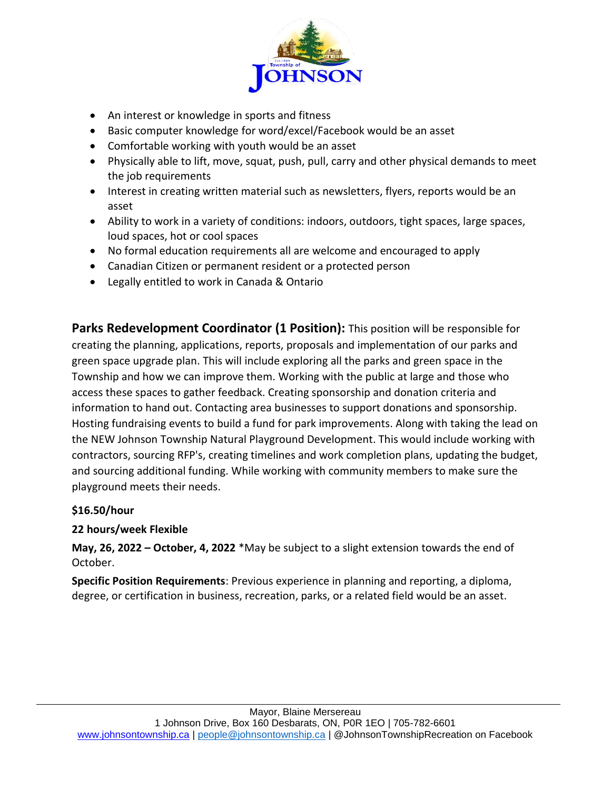

- An interest or knowledge in sports and fitness
- Basic computer knowledge for word/excel/Facebook would be an asset
- Comfortable working with youth would be an asset
- Physically able to lift, move, squat, push, pull, carry and other physical demands to meet the job requirements
- Interest in creating written material such as newsletters, flyers, reports would be an asset
- Ability to work in a variety of conditions: indoors, outdoors, tight spaces, large spaces, loud spaces, hot or cool spaces
- No formal education requirements all are welcome and encouraged to apply
- Canadian Citizen or permanent resident or a protected person
- Legally entitled to work in Canada & Ontario

**Parks Redevelopment Coordinator (1 Position):** This position will be responsible for creating the planning, applications, reports, proposals and implementation of our parks and green space upgrade plan. This will include exploring all the parks and green space in the Township and how we can improve them. Working with the public at large and those who access these spaces to gather feedback. Creating sponsorship and donation criteria and information to hand out. Contacting area businesses to support donations and sponsorship. Hosting fundraising events to build a fund for park improvements. Along with taking the lead on the NEW Johnson Township Natural Playground Development. This would include working with contractors, sourcing RFP's, creating timelines and work completion plans, updating the budget, and sourcing additional funding. While working with community members to make sure the playground meets their needs.

#### **\$16.50/hour**

#### **22 hours/week Flexible**

**May, 26, 2022 – October, 4, 2022** \*May be subject to a slight extension towards the end of October.

**Specific Position Requirements**: Previous experience in planning and reporting, a diploma, degree, or certification in business, recreation, parks, or a related field would be an asset.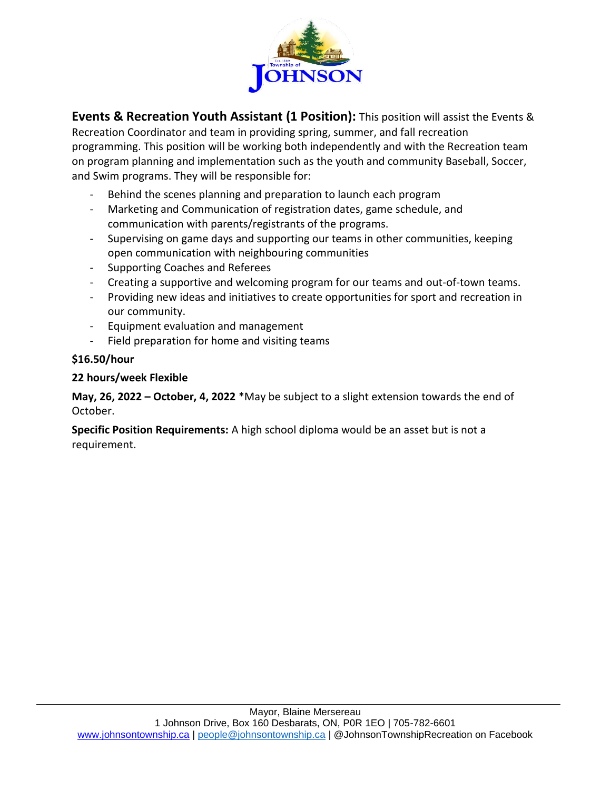

**Events & Recreation Youth Assistant (1 Position):** This position will assist the Events & Recreation Coordinator and team in providing spring, summer, and fall recreation programming. This position will be working both independently and with the Recreation team on program planning and implementation such as the youth and community Baseball, Soccer, and Swim programs. They will be responsible for:

- Behind the scenes planning and preparation to launch each program
- Marketing and Communication of registration dates, game schedule, and communication with parents/registrants of the programs.
- Supervising on game days and supporting our teams in other communities, keeping open communication with neighbouring communities
- Supporting Coaches and Referees
- Creating a supportive and welcoming program for our teams and out-of-town teams.
- Providing new ideas and initiatives to create opportunities for sport and recreation in our community.
- Equipment evaluation and management
- Field preparation for home and visiting teams

#### **\$16.50/hour**

#### **22 hours/week Flexible**

**May, 26, 2022 – October, 4, 2022** \*May be subject to a slight extension towards the end of October.

**Specific Position Requirements:** A high school diploma would be an asset but is not a requirement.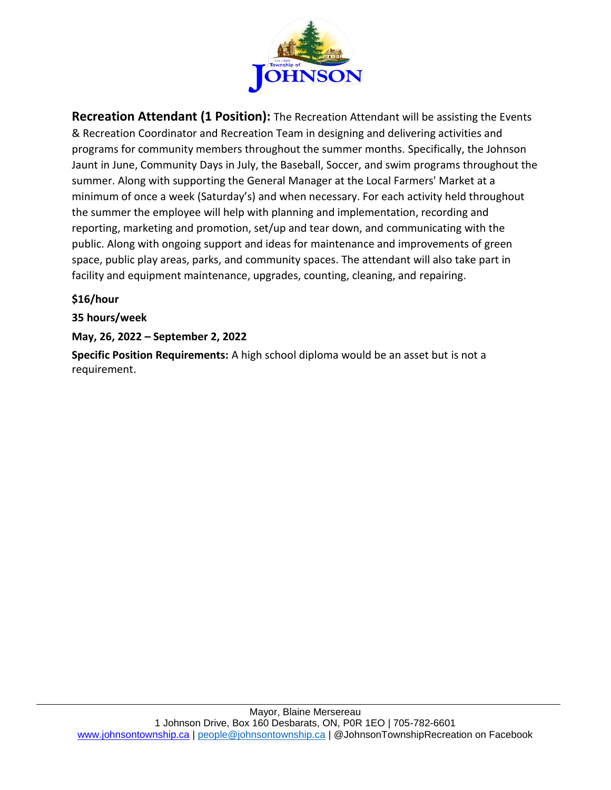

**Recreation Attendant (1 Position):** The Recreation Attendant will be assisting the Events & Recreation Coordinator and Recreation Team in designing and delivering activities and programs for community members throughout the summer months. Specifically, the Johnson Jaunt in June, Community Days in July, the Baseball, Soccer, and swim programs throughout the summer. Along with supporting the General Manager at the Local Farmers' Market at a minimum of once a week (Saturday's) and when necessary. For each activity held throughout the summer the employee will help with planning and implementation, recording and reporting, marketing and promotion, set/up and tear down, and communicating with the public. Along with ongoing support and ideas for maintenance and improvements of green space, public play areas, parks, and community spaces. The attendant will also take part in facility and equipment maintenance, upgrades, counting, cleaning, and repairing.

### **\$16/hour**

**35 hours/week**

#### **May, 26, 2022 – September 2, 2022**

**Specific Position Requirements:** A high school diploma would be an asset but is not a requirement.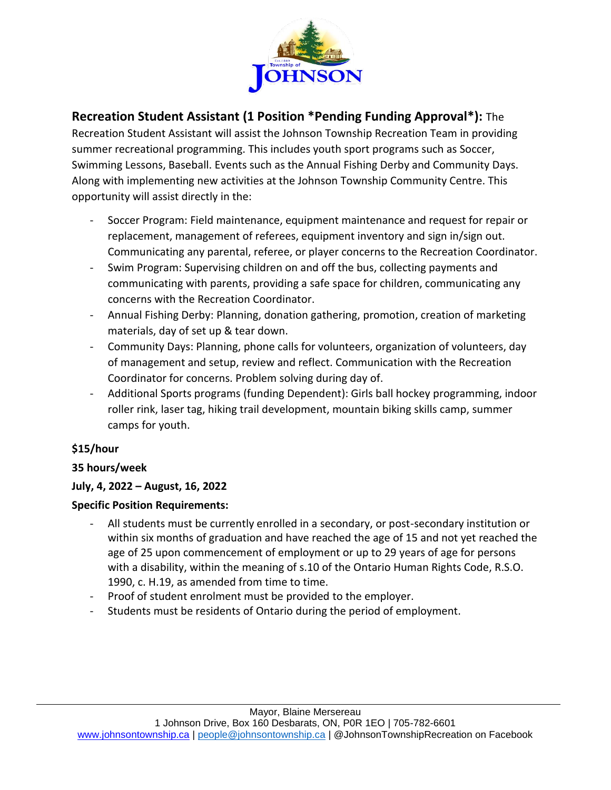

### **Recreation Student Assistant (1 Position \*Pending Funding Approval\*):** The

Recreation Student Assistant will assist the Johnson Township Recreation Team in providing summer recreational programming. This includes youth sport programs such as Soccer, Swimming Lessons, Baseball. Events such as the Annual Fishing Derby and Community Days. Along with implementing new activities at the Johnson Township Community Centre. This opportunity will assist directly in the:

- Soccer Program: Field maintenance, equipment maintenance and request for repair or replacement, management of referees, equipment inventory and sign in/sign out. Communicating any parental, referee, or player concerns to the Recreation Coordinator.
- Swim Program: Supervising children on and off the bus, collecting payments and communicating with parents, providing a safe space for children, communicating any concerns with the Recreation Coordinator.
- Annual Fishing Derby: Planning, donation gathering, promotion, creation of marketing materials, day of set up & tear down.
- Community Days: Planning, phone calls for volunteers, organization of volunteers, day of management and setup, review and reflect. Communication with the Recreation Coordinator for concerns. Problem solving during day of.
- Additional Sports programs (funding Dependent): Girls ball hockey programming, indoor roller rink, laser tag, hiking trail development, mountain biking skills camp, summer camps for youth.

### **\$15/hour**

### **35 hours/week**

### **July, 4, 2022 – August, 16, 2022**

#### **Specific Position Requirements:**

- All students must be currently enrolled in a secondary, or post-secondary institution or within six months of graduation and have reached the age of 15 and not yet reached the age of 25 upon commencement of employment or up to 29 years of age for persons with a disability, within the meaning of s.10 of the Ontario Human Rights Code, R.S.O. 1990, c. H.19, as amended from time to time.
- Proof of student enrolment must be provided to the employer.
- Students must be residents of Ontario during the period of employment.